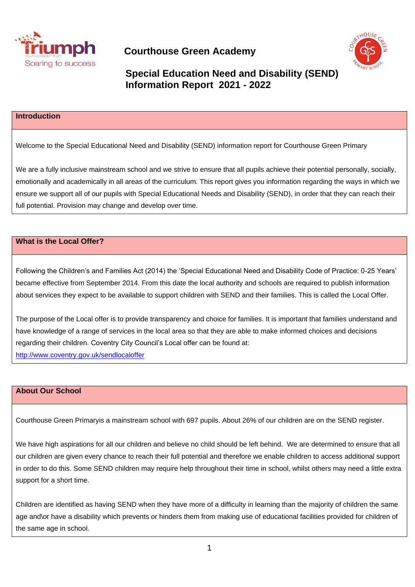



## **Special Education Need and Disability (SEND) Information Report 2021 - 2022**

## **Introduction**

Welcome to the Special Educational Need and Disability (SEND) information report for Courthouse Green Primary

We are a fully inclusive mainstream school and we strive to ensure that all pupils achieve their potential personally, socially, emotionally and academically in all areas of the curriculum. This report gives you information regarding the ways in which we ensure we support all of our pupils with Special Educational Needs and Disability (SEND), in order that they can reach their full potential. Provision may change and develop over time.

## **What is the Local Offer?**

Following the Children's and Families Act (2014) the 'Special Educational Need and Disability Code of Practice: 0-25 Years' became effective from September 2014. From this date the local authority and schools are required to publish information about services they expect to be available to support children with SEND and their families. This is called the Local Offer.

The purpose of the Local offer is to provide transparency and choice for families. It is important that families understand and have knowledge of a range of services in the local area so that they are able to make informed choices and decisions regarding their children. Coventry City Council's Local offer can be found at: <http://www.coventry.gov.uk/sendlocaloffer>

#### **About Our School**

Courthouse Green Primaryis a mainstream school with 697 pupils. About 26% of our children are on the SEND register.

We have high aspirations for all our children and believe no child should be left behind. We are determined to ensure that all our children are given every chance to reach their full potential and therefore we enable children to access additional support in order to do this. Some SEND children may require help throughout their time in school, whilst others may need a little extra support for a short time.

Children are identified as having SEND when they have more of a difficulty in learning than the majority of children the same age and\or have a disability which prevents or hinders them from making use of educational facilities provided for children of the same age in school.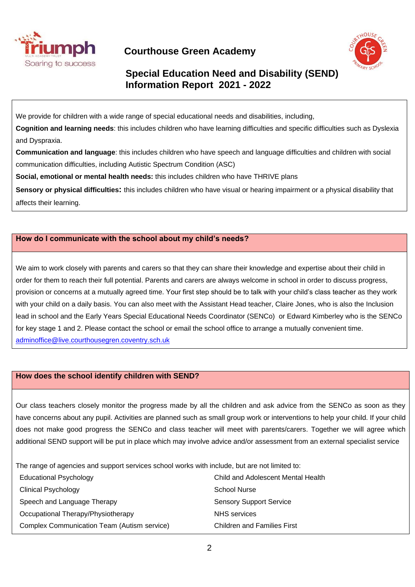



# **Special Education Need and Disability (SEND) Information Report 2021 - 2022**

We provide for children with a wide range of special educational needs and disabilities, including,

**Cognition and learning needs**: this includes children who have learning difficulties and specific difficulties such as Dyslexia and Dyspraxia.

**Communication and language**: this includes children who have speech and language difficulties and children with social communication difficulties, including Autistic Spectrum Condition (ASC)

**Social, emotional or mental health needs:** this includes children who have THRIVE plans

**Sensory or physical difficulties:** this includes children who have visual or hearing impairment or a physical disability that affects their learning.

## **How do I communicate with the school about my child's needs?**

We aim to work closely with parents and carers so that they can share their knowledge and expertise about their child in order for them to reach their full potential. Parents and carers are always welcome in school in order to discuss progress, provision or concerns at a mutually agreed time. Your first step should be to talk with your child's class teacher as they work with your child on a daily basis. You can also meet with the Assistant Head teacher, Claire Jones, who is also the Inclusion lead in school and the Early Years Special Educational Needs Coordinator (SENCo) or Edward Kimberley who is the SENCo for key stage 1 and 2. Please contact the school or email the school office to arrange a mutually convenient time. [adminoffice@live.courthousegren.coventry.sch.uk](mailto:adminoffice@live.courthousegren.coventry.sch.uk)

#### **How does the school identify children with SEND?**

Our class teachers closely monitor the progress made by all the children and ask advice from the SENCo as soon as they have concerns about any pupil. Activities are planned such as small group work or interventions to help your child. If your child does not make good progress the SENCo and class teacher will meet with parents/carers. Together we will agree which additional SEND support will be put in place which may involve advice and/or assessment from an external specialist service

The range of agencies and support services school works with include, but are not limited to:

| <b>Educational Psychology</b>               | Child and Adolescent Mental Health |
|---------------------------------------------|------------------------------------|
| <b>Clinical Psychology</b>                  | <b>School Nurse</b>                |
| Speech and Language Therapy                 | <b>Sensory Support Service</b>     |
| Occupational Therapy/Physiotherapy          | <b>NHS</b> services                |
| Complex Communication Team (Autism service) | <b>Children and Families First</b> |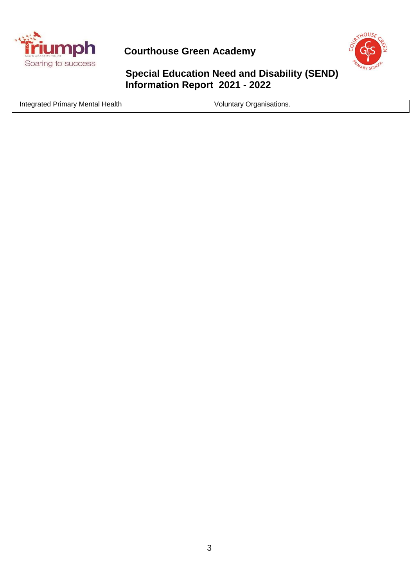

**Triumph** Courthouse Green Academy



**Special Education Need and Disability (SEND) Information Report 2021 - 2022**

Integrated Primary Mental Health Voluntary Organisations.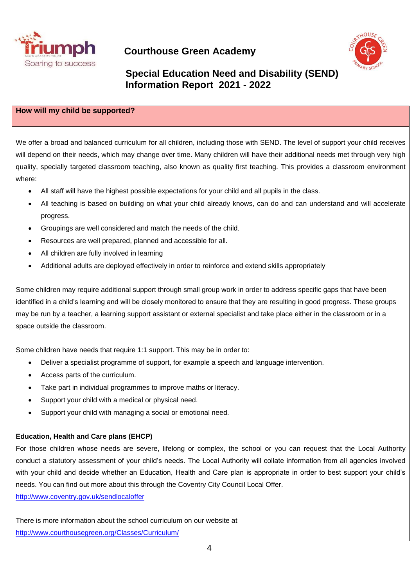



## **Special Education Need and Disability (SEND) Information Report 2021 - 2022**

#### **How will my child be supported?**

We offer a broad and balanced curriculum for all children, including those with SEND. The level of support your child receives will depend on their needs, which may change over time. Many children will have their additional needs met through very high quality, specially targeted classroom teaching, also known as quality first teaching. This provides a classroom environment where:

- All staff will have the highest possible expectations for your child and all pupils in the class.
- All teaching is based on building on what your child already knows, can do and can understand and will accelerate progress.
- Groupings are well considered and match the needs of the child.
- Resources are well prepared, planned and accessible for all.
- All children are fully involved in learning
- Additional adults are deployed effectively in order to reinforce and extend skills appropriately

Some children may require additional support through small group work in order to address specific gaps that have been identified in a child's learning and will be closely monitored to ensure that they are resulting in good progress. These groups may be run by a teacher, a learning support assistant or external specialist and take place either in the classroom or in a space outside the classroom.

Some children have needs that require 1:1 support. This may be in order to:

- Deliver a specialist programme of support, for example a speech and language intervention.
- Access parts of the curriculum.
- Take part in individual programmes to improve maths or literacy.
- Support your child with a medical or physical need.
- Support your child with managing a social or emotional need.

#### **Education, Health and Care plans (EHCP)**

For those children whose needs are severe, lifelong or complex, the school or you can request that the Local Authority conduct a statutory assessment of your child's needs. The Local Authority will collate information from all agencies involved with your child and decide whether an Education, Health and Care plan is appropriate in order to best support your child's needs. You can find out more about this through the Coventry City Council Local Offer. <http://www.coventry.gov.uk/sendlocaloffer>

There is more information about the school curriculum on our website at <http://www.courthousegreen.org/Classes/Curriculum/>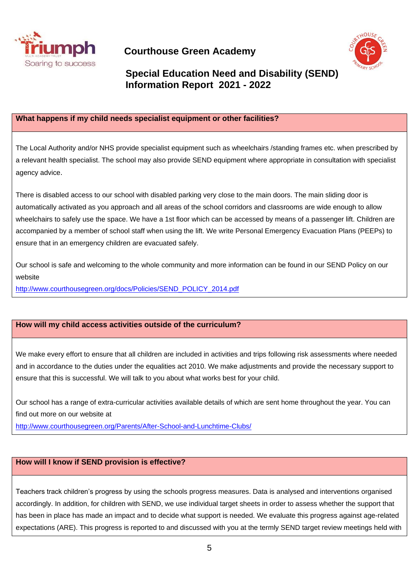



## **Special Education Need and Disability (SEND) Information Report 2021 - 2022**

## **What happens if my child needs specialist equipment or other facilities?**

The Local Authority and/or NHS provide specialist equipment such as wheelchairs /standing frames etc. when prescribed by a relevant health specialist. The school may also provide SEND equipment where appropriate in consultation with specialist agency advice.

There is disabled access to our school with disabled parking very close to the main doors. The main sliding door is automatically activated as you approach and all areas of the school corridors and classrooms are wide enough to allow wheelchairs to safely use the space. We have a 1st floor which can be accessed by means of a passenger lift. Children are accompanied by a member of school staff when using the lift. We write Personal Emergency Evacuation Plans (PEEPs) to ensure that in an emergency children are evacuated safely.

Our school is safe and welcoming to the whole community and more information can be found in our SEND Policy on our website

[http://www.courthousegreen.org/docs/Policies/SEND\\_POLICY\\_2014.pdf](http://www.courthousegreen.org/docs/Policies/SEND_POLICY_2014.pdf)

## **How will my child access activities outside of the curriculum?**

We make every effort to ensure that all children are included in activities and trips following risk assessments where needed and in accordance to the duties under the equalities act 2010. We make adjustments and provide the necessary support to ensure that this is successful. We will talk to you about what works best for your child.

Our school has a range of extra-curricular activities available details of which are sent home throughout the year. You can find out more on our website at

<http://www.courthousegreen.org/Parents/After-School-and-Lunchtime-Clubs/>

## **How will I know if SEND provision is effective?**

Teachers track children's progress by using the schools progress measures. Data is analysed and interventions organised accordingly. In addition, for children with SEND, we use individual target sheets in order to assess whether the support that has been in place has made an impact and to decide what support is needed. We evaluate this progress against age-related expectations (ARE). This progress is reported to and discussed with you at the termly SEND target review meetings held with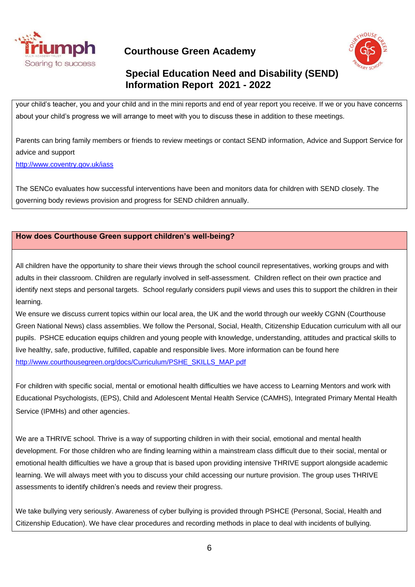



# **Special Education Need and Disability (SEND) Information Report 2021 - 2022**

your child's teacher, you and your child and in the mini reports and end of year report you receive. If we or you have concerns about your child's progress we will arrange to meet with you to discuss these in addition to these meetings.

Parents can bring family members or friends to review meetings or contact SEND information, Advice and Support Service for advice and support

<http://www.coventry.gov.uk/iass>

The SENCo evaluates how successful interventions have been and monitors data for children with SEND closely. The governing body reviews provision and progress for SEND children annually.

## **How does Courthouse Green support children's well-being?**

All children have the opportunity to share their views through the school council representatives, working groups and with adults in their classroom. Children are regularly involved in self-assessment. Children reflect on their own practice and identify next steps and personal targets. School regularly considers pupil views and uses this to support the children in their learning.

We ensure we discuss current topics within our local area, the UK and the world through our weekly CGNN (Courthouse Green National News) class assemblies. We follow the Personal, Social, Health, Citizenship Education curriculum with all our pupils. PSHCE education equips children and young people with knowledge, understanding, attitudes and practical skills to live healthy, safe, productive, fulfilled, capable and responsible lives. More information can be found here [http://www.courthousegreen.org/docs/Curriculum/PSHE\\_SKILLS\\_MAP.pdf](http://www.courthousegreen.org/docs/Curriculum/PSHE_SKILLS_MAP.pdf)

For children with specific social, mental or emotional health difficulties we have access to Learning Mentors and work with Educational Psychologists, (EPS), Child and Adolescent Mental Health Service (CAMHS), Integrated Primary Mental Health Service (IPMHs) and other agencies.

We are a THRIVE school. Thrive is a way of supporting children in with their social, emotional and mental health development. For those children who are finding learning within a mainstream class difficult due to their social, mental or emotional health difficulties we have a group that is based upon providing intensive THRIVE support alongside academic learning. We will always meet with you to discuss your child accessing our nurture provision. The group uses THRIVE assessments to identify children's needs and review their progress.

We take bullying very seriously. Awareness of cyber bullying is provided through PSHCE (Personal, Social, Health and Citizenship Education). We have clear procedures and recording methods in place to deal with incidents of bullying.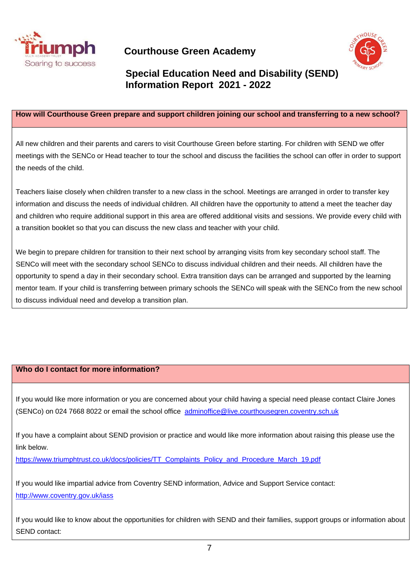



# **Special Education Need and Disability (SEND) Information Report 2021 - 2022**

#### **How will Courthouse Green prepare and support children joining our school and transferring to a new school?**

All new children and their parents and carers to visit Courthouse Green before starting. For children with SEND we offer meetings with the SENCo or Head teacher to tour the school and discuss the facilities the school can offer in order to support the needs of the child.

Teachers liaise closely when children transfer to a new class in the school. Meetings are arranged in order to transfer key information and discuss the needs of individual children. All children have the opportunity to attend a meet the teacher day and children who require additional support in this area are offered additional visits and sessions. We provide every child with a transition booklet so that you can discuss the new class and teacher with your child.

We begin to prepare children for transition to their next school by arranging visits from key secondary school staff. The SENCo will meet with the secondary school SENCo to discuss individual children and their needs. All children have the opportunity to spend a day in their secondary school. Extra transition days can be arranged and supported by the learning mentor team. If your child is transferring between primary schools the SENCo will speak with the SENCo from the new school to discuss individual need and develop a transition plan.

#### **Who do I contact for more information?**

If you would like more information or you are concerned about your child having a special need please contact Claire Jones (SENCo) on 024 7668 8022 or email the school office [adminoffice@live.courthousegren.coventry.sch.uk](mailto:adminoffice@live.courthousegren.coventry.sch.uk)

If you have a complaint about SEND provision or practice and would like more information about raising this please use the link below.

[https://www.triumphtrust.co.uk/docs/policies/TT\\_Complaints\\_Policy\\_and\\_Procedure\\_March\\_19.pdf](https://www.triumphtrust.co.uk/docs/policies/TT_Complaints_Policy_and_Procedure_March_19.pdf)

If you would like impartial advice from Coventry SEND information, Advice and Support Service contact: <http://www.coventry.gov.uk/iass>

If you would like to know about the opportunities for children with SEND and their families, support groups or information about SEND contact: